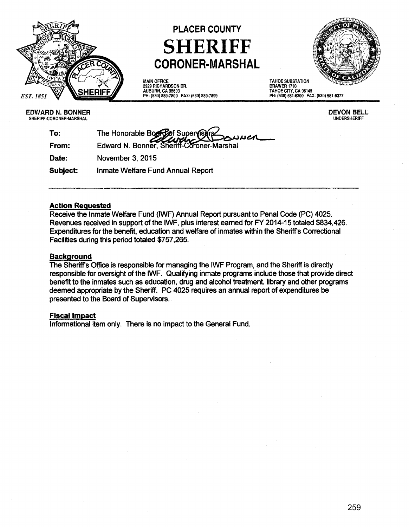

# PLACER COUNTY SHERIFF **CORONER-MARSHAL**



MAIN OFFICE 2929 RICHARDSON DR. AUBURN, CA 95603 PH: (530) 889·7800 FAX: (530) 889-7899 TAHOE SUBSTATION DRAWER 1710 TAHOE CITY, CA 96145 PH: (530) 581-6300 FAX: (530) 581·6377

#### EDWARD N. BONNER SHERIFF-CORONER-MARSHAL

DEVON BELL UNDERSHERIFF

| To:      | The Honorable Board of Supervisors<br>Edward N. Bonner, Sheriff-Coroner-Marshal |
|----------|---------------------------------------------------------------------------------|
| From:    |                                                                                 |
| Date:    | November 3, 2015                                                                |
| Subject: | Inmate Welfare Fund Annual Report                                               |

#### Action Requested

Receive the Inmate Welfare Fund (IWF) Annual Report pursuant to Penal Code (PC) 4025. Revenues received in support of the IWF, plus interest earned for FY 2014-15 totaled \$834,426. Expenditures for the benefit, education and welfare of inmates within the Sheriff's Correctional Facilities during this period totaled \$757,265.

#### **Background**

The Sheriff's Office is responsible for managing the IWF Program, and the Sheriff is directly responsible for oversight of the IWF. Qualifying inmate programs include those that provide direct benefit to the inmates such as education, drug and alcohol treatment, library and other programs deemed appropriate by the Sheriff. PC 4025 requires an annual report of expenditures be presented to the Board of Supervisors.

### Fiscal Impact

Informational item only. There is no impact to the General Fund.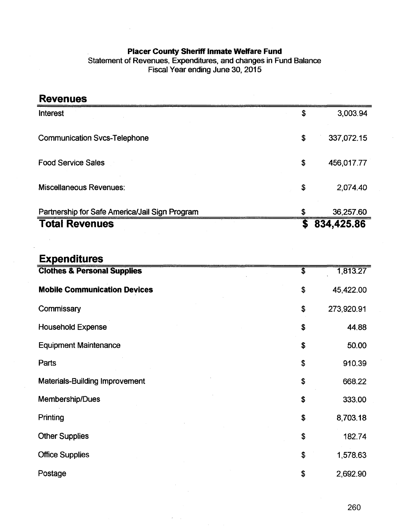#### **Placer County Sheriff Inmate Welfare Fund**

Statement of Revenues, Expenditures, and changes in Fund Balance Fiscal Year ending June 30, 2015

| <b>Revenues</b>                                |                             |            |
|------------------------------------------------|-----------------------------|------------|
| <b>Interest</b>                                | \$                          | 3,003.94   |
| <b>Communication Svcs-Telephone</b>            | \$                          | 337,072.15 |
| <b>Food Service Sales</b>                      |                             | 456,017.77 |
| <b>Miscellaneous Revenues:</b>                 |                             | 2,074.40   |
| Partnership for Safe America/Jail Sign Program | \$                          | 36,257.60  |
| <b>Total Revenues</b>                          | $\overline{\mathbf{\$}}$    | 834,425.86 |
|                                                |                             |            |
| <b>Expenditures</b>                            |                             |            |
| <b>Clothes &amp; Personal Supplies</b>         | $\overline{\boldsymbol{s}}$ | 1,813.27   |
| <b>Mobile Communication Devices</b>            | \$                          | 45,422.00  |
| Commissary                                     | \$                          | 273,920.91 |
| <b>Household Expense</b>                       |                             | 44.88      |
| <b>Equipment Maintenance</b>                   |                             | 50.00      |
| Parts                                          |                             | 910.39     |
| <b>Materials-Building Improvement</b>          |                             | 668.22     |
| Membership/Dues                                |                             | 333.00     |
| Printing                                       | \$                          | 8,703.18   |
| <b>Other Supplies</b>                          |                             | 182.74     |
| <b>Office Supplies</b>                         |                             | 1,578.63   |
| Postage                                        |                             | 2,692.90   |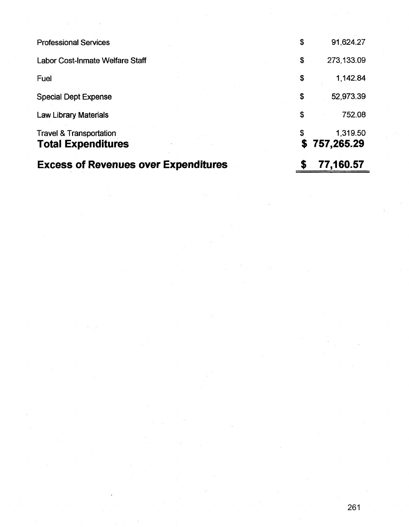| <b>Excess of Revenues over Expenditures</b>                     | S        | 77,160.57              |
|-----------------------------------------------------------------|----------|------------------------|
| <b>Travel &amp; Transportation</b><br><b>Total Expenditures</b> | \$<br>S. | 1,319.50<br>757,265.29 |
|                                                                 |          |                        |
| <b>Law Library Materials</b>                                    | \$       | 752.08                 |
| <b>Special Dept Expense</b>                                     | \$       | 52,973.39              |
| Fuel                                                            | \$       | 1,142.84               |
| Labor Cost-Inmate Welfare Staff                                 | \$       | 273,133.09             |
| <b>Professional Services</b>                                    | \$       | 91,624.27              |